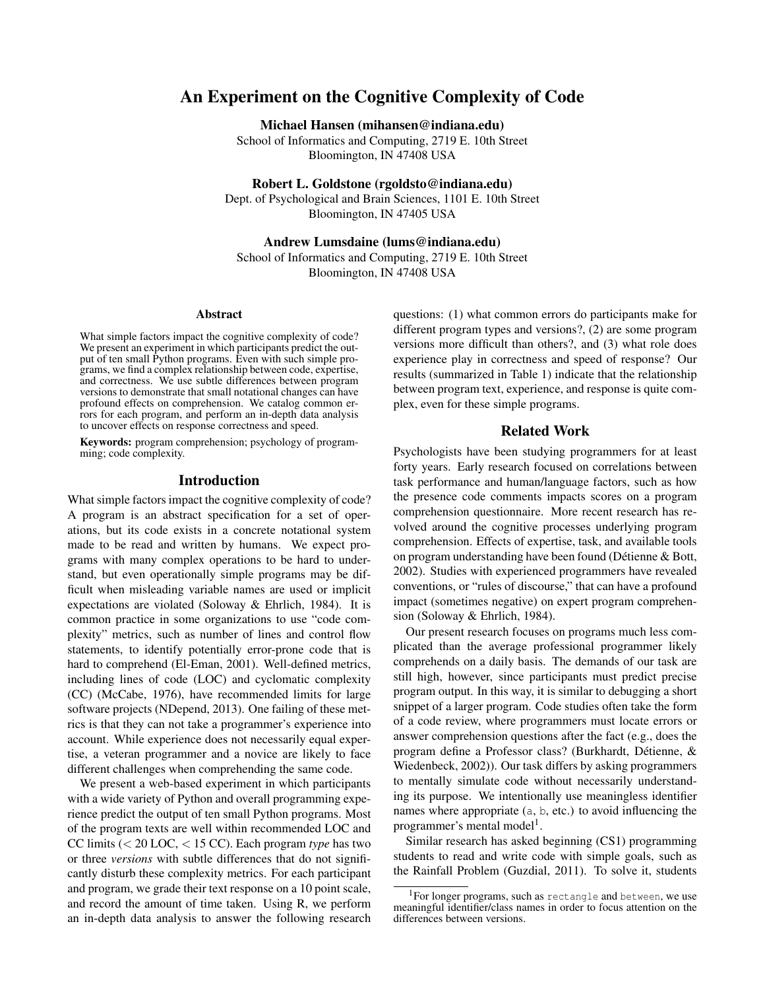# An Experiment on the Cognitive Complexity of Code

Michael Hansen (mihansen@indiana.edu)

School of Informatics and Computing, 2719 E. 10th Street Bloomington, IN 47408 USA

Robert L. Goldstone (rgoldsto@indiana.edu)

Dept. of Psychological and Brain Sciences, 1101 E. 10th Street Bloomington, IN 47405 USA

Andrew Lumsdaine (lums@indiana.edu)

School of Informatics and Computing, 2719 E. 10th Street Bloomington, IN 47408 USA

#### Abstract

What simple factors impact the cognitive complexity of code? We present an experiment in which participants predict the output of ten small Python programs. Even with such simple programs, we find a complex relationship between code, expertise, and correctness. We use subtle differences between program versions to demonstrate that small notational changes can have profound effects on comprehension. We catalog common errors for each program, and perform an in-depth data analysis to uncover effects on response correctness and speed.

Keywords: program comprehension; psychology of programming; code complexity.

#### Introduction

What simple factors impact the cognitive complexity of code? A program is an abstract specification for a set of operations, but its code exists in a concrete notational system made to be read and written by humans. We expect programs with many complex operations to be hard to understand, but even operationally simple programs may be difficult when misleading variable names are used or implicit expectations are violated (Soloway & Ehrlich, 1984). It is common practice in some organizations to use "code complexity" metrics, such as number of lines and control flow statements, to identify potentially error-prone code that is hard to comprehend (El-Eman, 2001). Well-defined metrics, including lines of code (LOC) and cyclomatic complexity (CC) (McCabe, 1976), have recommended limits for large software projects (NDepend, 2013). One failing of these metrics is that they can not take a programmer's experience into account. While experience does not necessarily equal expertise, a veteran programmer and a novice are likely to face different challenges when comprehending the same code.

We present a web-based experiment in which participants with a wide variety of Python and overall programming experience predict the output of ten small Python programs. Most of the program texts are well within recommended LOC and CC limits (< 20 LOC, < 15 CC). Each program *type* has two or three *versions* with subtle differences that do not significantly disturb these complexity metrics. For each participant and program, we grade their text response on a 10 point scale, and record the amount of time taken. Using R, we perform an in-depth data analysis to answer the following research questions: (1) what common errors do participants make for different program types and versions?, (2) are some program versions more difficult than others?, and (3) what role does experience play in correctness and speed of response? Our results (summarized in Table 1) indicate that the relationship between program text, experience, and response is quite complex, even for these simple programs.

### Related Work

Psychologists have been studying programmers for at least forty years. Early research focused on correlations between task performance and human/language factors, such as how the presence code comments impacts scores on a program comprehension questionnaire. More recent research has revolved around the cognitive processes underlying program comprehension. Effects of expertise, task, and available tools on program understanding have been found (Détienne  $&$  Bott, 2002). Studies with experienced programmers have revealed conventions, or "rules of discourse," that can have a profound impact (sometimes negative) on expert program comprehension (Soloway & Ehrlich, 1984).

Our present research focuses on programs much less complicated than the average professional programmer likely comprehends on a daily basis. The demands of our task are still high, however, since participants must predict precise program output. In this way, it is similar to debugging a short snippet of a larger program. Code studies often take the form of a code review, where programmers must locate errors or answer comprehension questions after the fact (e.g., does the program define a Professor class? (Burkhardt, Detienne, & ´ Wiedenbeck, 2002)). Our task differs by asking programmers to mentally simulate code without necessarily understanding its purpose. We intentionally use meaningless identifier names where appropriate (a, b, etc.) to avoid influencing the programmer's mental model<sup>1</sup>.

Similar research has asked beginning (CS1) programming students to read and write code with simple goals, such as the Rainfall Problem (Guzdial, 2011). To solve it, students

<sup>1</sup>For longer programs, such as rectangle and between, we use meaningful identifier/class names in order to focus attention on the differences between versions.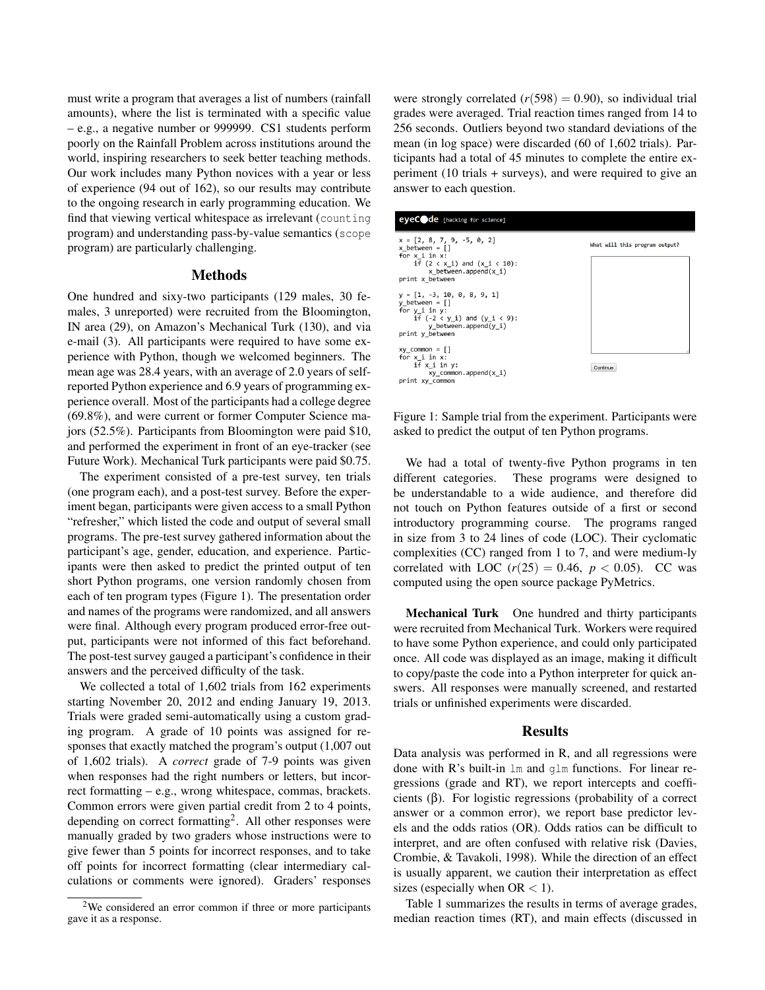must write a program that averages a list of numbers (rainfall amounts), where the list is terminated with a specific value – e.g., a negative number or 999999. CS1 students perform poorly on the Rainfall Problem across institutions around the world, inspiring researchers to seek better teaching methods. Our work includes many Python novices with a year or less of experience (94 out of 162), so our results may contribute to the ongoing research in early programming education. We find that viewing vertical whitespace as irrelevant (counting program) and understanding pass-by-value semantics (scope program) are particularly challenging.

## **Methods**

One hundred and sixy-two participants (129 males, 30 females, 3 unreported) were recruited from the Bloomington, IN area (29), on Amazon's Mechanical Turk (130), and via e-mail (3). All participants were required to have some experience with Python, though we welcomed beginners. The mean age was 28.4 years, with an average of 2.0 years of selfreported Python experience and 6.9 years of programming experience overall. Most of the participants had a college degree (69.8%), and were current or former Computer Science majors (52.5%). Participants from Bloomington were paid \$10, and performed the experiment in front of an eye-tracker (see Future Work). Mechanical Turk participants were paid \$0.75.

The experiment consisted of a pre-test survey, ten trials (one program each), and a post-test survey. Before the experiment began, participants were given access to a small Python "refresher," which listed the code and output of several small programs. The pre-test survey gathered information about the participant's age, gender, education, and experience. Participants were then asked to predict the printed output of ten short Python programs, one version randomly chosen from each of ten program types (Figure 1). The presentation order and names of the programs were randomized, and all answers were final. Although every program produced error-free output, participants were not informed of this fact beforehand. The post-test survey gauged a participant's confidence in their answers and the perceived difficulty of the task.

We collected a total of 1,602 trials from 162 experiments starting November 20, 2012 and ending January 19, 2013. Trials were graded semi-automatically using a custom grading program. A grade of 10 points was assigned for responses that exactly matched the program's output (1,007 out of 1,602 trials). A *correct* grade of 7-9 points was given when responses had the right numbers or letters, but incorrect formatting – e.g., wrong whitespace, commas, brackets. Common errors were given partial credit from 2 to 4 points, depending on correct formatting<sup>2</sup>. All other responses were manually graded by two graders whose instructions were to give fewer than 5 points for incorrect responses, and to take off points for incorrect formatting (clear intermediary calculations or comments were ignored). Graders' responses were strongly correlated  $(r(598) = 0.90)$ , so individual trial grades were averaged. Trial reaction times ranged from 14 to 256 seconds. Outliers beyond two standard deviations of the mean (in log space) were discarded (60 of 1,602 trials). Participants had a total of 45 minutes to complete the entire experiment (10 trials + surveys), and were required to give an answer to each question.



Figure 1: Sample trial from the experiment. Participants were asked to predict the output of ten Python programs.

We had a total of twenty-five Python programs in ten different categories. These programs were designed to be understandable to a wide audience, and therefore did not touch on Python features outside of a first or second introductory programming course. The programs ranged in size from 3 to 24 lines of code (LOC). Their cyclomatic complexities (CC) ranged from 1 to 7, and were medium-ly correlated with LOC  $(r(25) = 0.46, p < 0.05)$ . CC was computed using the open source package PyMetrics.

Mechanical Turk One hundred and thirty participants were recruited from Mechanical Turk. Workers were required to have some Python experience, and could only participated once. All code was displayed as an image, making it difficult to copy/paste the code into a Python interpreter for quick answers. All responses were manually screened, and restarted trials or unfinished experiments were discarded.

#### Results

Data analysis was performed in R, and all regressions were done with R's built-in lm and glm functions. For linear regressions (grade and RT), we report intercepts and coefficients (β). For logistic regressions (probability of a correct answer or a common error), we report base predictor levels and the odds ratios (OR). Odds ratios can be difficult to interpret, and are often confused with relative risk (Davies, Crombie, & Tavakoli, 1998). While the direction of an effect is usually apparent, we caution their interpretation as effect sizes (especially when  $OR < 1$ ).

Table 1 summarizes the results in terms of average grades, median reaction times (RT), and main effects (discussed in

<sup>&</sup>lt;sup>2</sup>We considered an error common if three or more participants gave it as a response.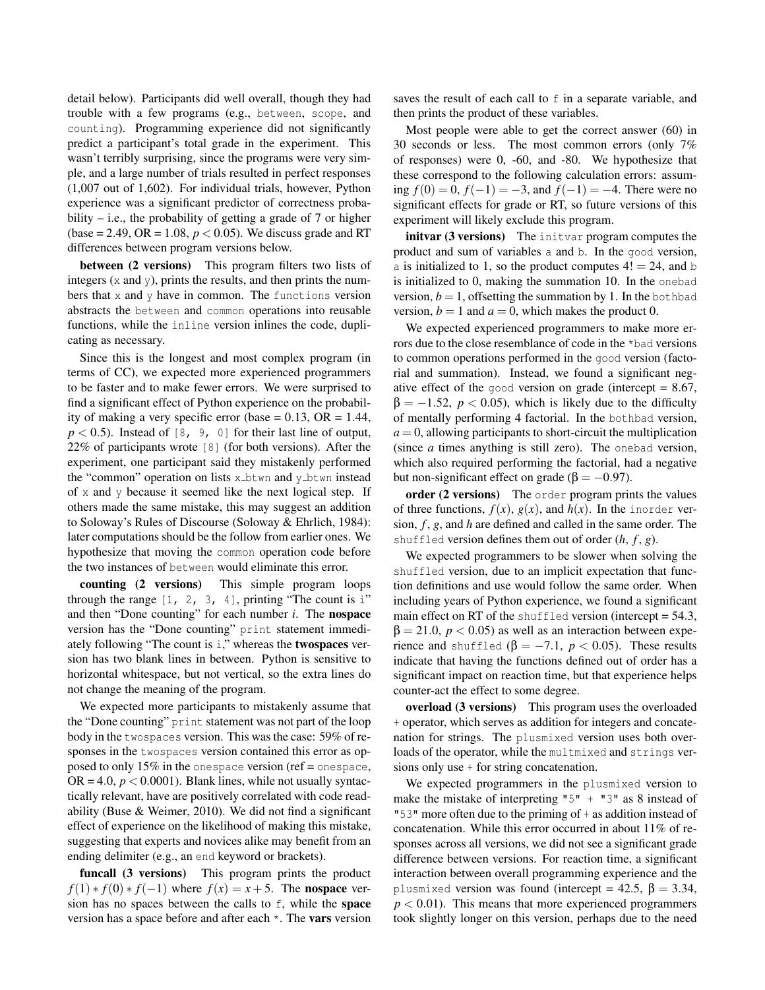detail below). Participants did well overall, though they had trouble with a few programs (e.g., between, scope, and counting). Programming experience did not significantly predict a participant's total grade in the experiment. This wasn't terribly surprising, since the programs were very simple, and a large number of trials resulted in perfect responses (1,007 out of 1,602). For individual trials, however, Python experience was a significant predictor of correctness probability – i.e., the probability of getting a grade of  $7$  or higher (base = 2.49, OR = 1.08,  $p < 0.05$ ). We discuss grade and RT differences between program versions below.

between (2 versions) This program filters two lists of integers  $(x \text{ and } y)$ , prints the results, and then prints the numbers that x and y have in common. The functions version abstracts the between and common operations into reusable functions, while the inline version inlines the code, duplicating as necessary.

Since this is the longest and most complex program (in terms of CC), we expected more experienced programmers to be faster and to make fewer errors. We were surprised to find a significant effect of Python experience on the probability of making a very specific error (base =  $0.13$ , OR =  $1.44$ ,  $p < 0.5$ ). Instead of [8, 9, 0] for their last line of output, 22% of participants wrote [8] (for both versions). After the experiment, one participant said they mistakenly performed the "common" operation on lists  $x$  btwn and  $y$  btwn instead of x and y because it seemed like the next logical step. If others made the same mistake, this may suggest an addition to Soloway's Rules of Discourse (Soloway & Ehrlich, 1984): later computations should be the follow from earlier ones. We hypothesize that moving the common operation code before the two instances of between would eliminate this error.

counting (2 versions) This simple program loops through the range  $[1, 2, 3, 4]$ , printing "The count is i" and then "Done counting" for each number *i*. The nospace version has the "Done counting" print statement immediately following "The count is i," whereas the twospaces version has two blank lines in between. Python is sensitive to horizontal whitespace, but not vertical, so the extra lines do not change the meaning of the program.

We expected more participants to mistakenly assume that the "Done counting" print statement was not part of the loop body in the twospaces version. This was the case: 59% of responses in the twospaces version contained this error as opposed to only 15% in the onespace version (ref = onespace,  $OR = 4.0, p < 0.0001$ . Blank lines, while not usually syntactically relevant, have are positively correlated with code readability (Buse & Weimer, 2010). We did not find a significant effect of experience on the likelihood of making this mistake, suggesting that experts and novices alike may benefit from an ending delimiter (e.g., an end keyword or brackets).

funcall (3 versions) This program prints the product *f*(1) ∗ *f*(0) ∗ *f*(−1) where *f*(*x*) = *x* + 5. The **nospace** version has no spaces between the calls to f, while the space version has a space before and after each \*. The vars version saves the result of each call to f in a separate variable, and then prints the product of these variables.

Most people were able to get the correct answer (60) in 30 seconds or less. The most common errors (only 7% of responses) were 0, -60, and -80. We hypothesize that these correspond to the following calculation errors: assuming *f*(0) = 0, *f*(−1) = −3, and *f*(−1) = −4. There were no significant effects for grade or RT, so future versions of this experiment will likely exclude this program.

initvar (3 versions) The initvar program computes the product and sum of variables a and b. In the good version, a is initialized to 1, so the product computes  $4! = 24$ , and b is initialized to 0, making the summation 10. In the onebad version,  $b = 1$ , offsetting the summation by 1. In the bothbad version,  $b = 1$  and  $a = 0$ , which makes the product 0.

We expected experienced programmers to make more errors due to the close resemblance of code in the \*bad versions to common operations performed in the good version (factorial and summation). Instead, we found a significant negative effect of the good version on grade (intercept  $= 8.67$ ,  $\beta = -1.52$ ,  $p < 0.05$ ), which is likely due to the difficulty of mentally performing 4 factorial. In the bothbad version,  $a = 0$ , allowing participants to short-circuit the multiplication (since *a* times anything is still zero). The onebad version, which also required performing the factorial, had a negative but non-significant effect on grade ( $\beta = -0.97$ ).

order (2 versions) The order program prints the values of three functions,  $f(x)$ ,  $g(x)$ , and  $h(x)$ . In the inorder version, *f* , *g*, and *h* are defined and called in the same order. The shuffled version defines them out of order  $(h, f, g)$ .

We expected programmers to be slower when solving the shuffled version, due to an implicit expectation that function definitions and use would follow the same order. When including years of Python experience, we found a significant main effect on RT of the shuffled version (intercept  $= 54.3$ ,  $β = 21.0, p < 0.05$ ) as well as an interaction between experience and shuffled ( $\beta = -7.1$ ,  $p < 0.05$ ). These results indicate that having the functions defined out of order has a significant impact on reaction time, but that experience helps counter-act the effect to some degree.

overload (3 versions) This program uses the overloaded + operator, which serves as addition for integers and concatenation for strings. The plusmixed version uses both overloads of the operator, while the multmixed and strings versions only use + for string concatenation.

We expected programmers in the plusmixed version to make the mistake of interpreting " $5" + "3"$  as 8 instead of "53" more often due to the priming of + as addition instead of concatenation. While this error occurred in about 11% of responses across all versions, we did not see a significant grade difference between versions. For reaction time, a significant interaction between overall programming experience and the plusmixed version was found (intercept = 42.5,  $\beta = 3.34$ ,  $p < 0.01$ ). This means that more experienced programmers took slightly longer on this version, perhaps due to the need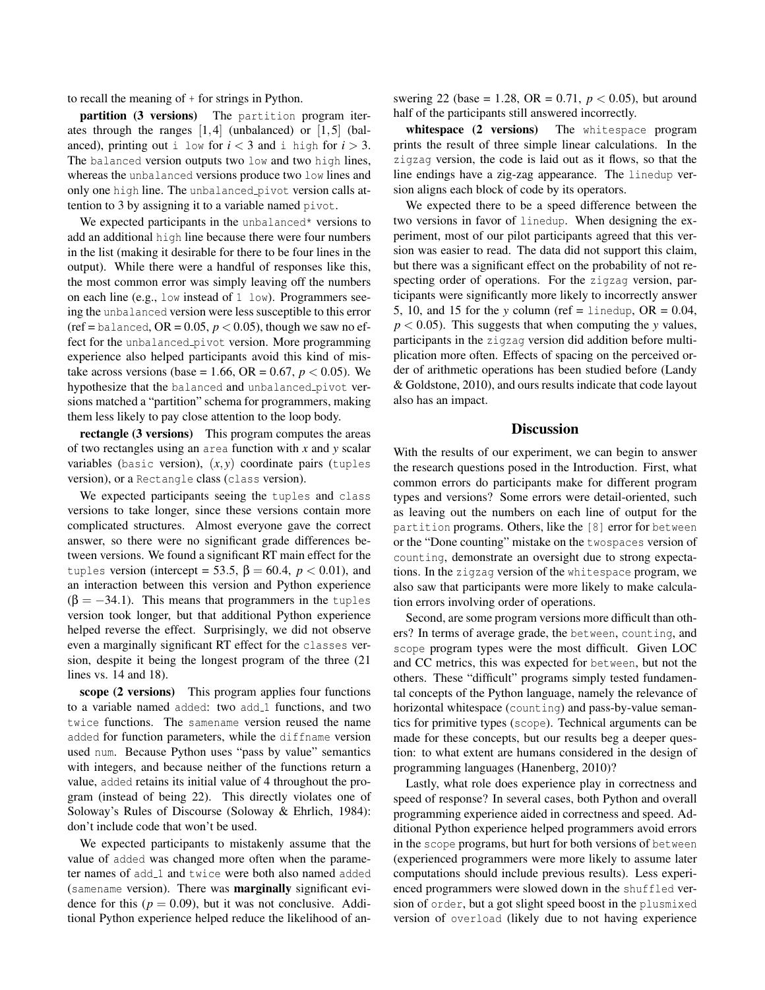to recall the meaning of + for strings in Python.

partition (3 versions) The partition program iterates through the ranges  $[1,4]$  (unbalanced) or  $[1,5]$  (balanced), printing out i low for  $i < 3$  and i high for  $i > 3$ . The balanced version outputs two low and two high lines, whereas the unbalanced versions produce two low lines and only one high line. The unbalanced pivot version calls attention to 3 by assigning it to a variable named pivot.

We expected participants in the unbalanced\* versions to add an additional high line because there were four numbers in the list (making it desirable for there to be four lines in the output). While there were a handful of responses like this, the most common error was simply leaving off the numbers on each line (e.g., low instead of 1 low). Programmers seeing the unbalanced version were less susceptible to this error (ref = balanced,  $OR = 0.05$ ,  $p < 0.05$ ), though we saw no effect for the unbalanced pivot version. More programming experience also helped participants avoid this kind of mistake across versions (base = 1.66, OR = 0.67,  $p < 0.05$ ). We hypothesize that the balanced and unbalanced pivot versions matched a "partition" schema for programmers, making them less likely to pay close attention to the loop body.

rectangle (3 versions) This program computes the areas of two rectangles using an area function with *x* and *y* scalar variables (basic version),  $(x, y)$  coordinate pairs (tuples version), or a Rectangle class (class version).

We expected participants seeing the tuples and class versions to take longer, since these versions contain more complicated structures. Almost everyone gave the correct answer, so there were no significant grade differences between versions. We found a significant RT main effect for the tuples version (intercept = 53.5,  $\beta$  = 60.4,  $p < 0.01$ ), and an interaction between this version and Python experience  $(\beta = -34.1)$ . This means that programmers in the tuples version took longer, but that additional Python experience helped reverse the effect. Surprisingly, we did not observe even a marginally significant RT effect for the classes version, despite it being the longest program of the three (21 lines vs. 14 and 18).

scope (2 versions) This program applies four functions to a variable named added: two add\_1 functions, and two twice functions. The samename version reused the name added for function parameters, while the diffname version used num. Because Python uses "pass by value" semantics with integers, and because neither of the functions return a value, added retains its initial value of 4 throughout the program (instead of being 22). This directly violates one of Soloway's Rules of Discourse (Soloway & Ehrlich, 1984): don't include code that won't be used.

We expected participants to mistakenly assume that the value of added was changed more often when the parameter names of add\_1 and twice were both also named added (samename version). There was marginally significant evidence for this ( $p = 0.09$ ), but it was not conclusive. Additional Python experience helped reduce the likelihood of answering 22 (base = 1.28, OR = 0.71,  $p < 0.05$ ), but around half of the participants still answered incorrectly.

whitespace (2 versions) The whitespace program prints the result of three simple linear calculations. In the zigzag version, the code is laid out as it flows, so that the line endings have a zig-zag appearance. The linedup version aligns each block of code by its operators.

We expected there to be a speed difference between the two versions in favor of linedup. When designing the experiment, most of our pilot participants agreed that this version was easier to read. The data did not support this claim, but there was a significant effect on the probability of not respecting order of operations. For the zigzag version, participants were significantly more likely to incorrectly answer 5, 10, and 15 for the *y* column (ref = linedup,  $OR = 0.04$ ,  $p < 0.05$ ). This suggests that when computing the *y* values, participants in the zigzag version did addition before multiplication more often. Effects of spacing on the perceived order of arithmetic operations has been studied before (Landy & Goldstone, 2010), and ours results indicate that code layout also has an impact.

#### **Discussion**

With the results of our experiment, we can begin to answer the research questions posed in the Introduction. First, what common errors do participants make for different program types and versions? Some errors were detail-oriented, such as leaving out the numbers on each line of output for the partition programs. Others, like the [8] error for between or the "Done counting" mistake on the twospaces version of counting, demonstrate an oversight due to strong expectations. In the zigzag version of the whitespace program, we also saw that participants were more likely to make calculation errors involving order of operations.

Second, are some program versions more difficult than others? In terms of average grade, the between, counting, and scope program types were the most difficult. Given LOC and CC metrics, this was expected for between, but not the others. These "difficult" programs simply tested fundamental concepts of the Python language, namely the relevance of horizontal whitespace (counting) and pass-by-value semantics for primitive types (scope). Technical arguments can be made for these concepts, but our results beg a deeper question: to what extent are humans considered in the design of programming languages (Hanenberg, 2010)?

Lastly, what role does experience play in correctness and speed of response? In several cases, both Python and overall programming experience aided in correctness and speed. Additional Python experience helped programmers avoid errors in the scope programs, but hurt for both versions of between (experienced programmers were more likely to assume later computations should include previous results). Less experienced programmers were slowed down in the shuffled version of order, but a got slight speed boost in the plusmixed version of overload (likely due to not having experience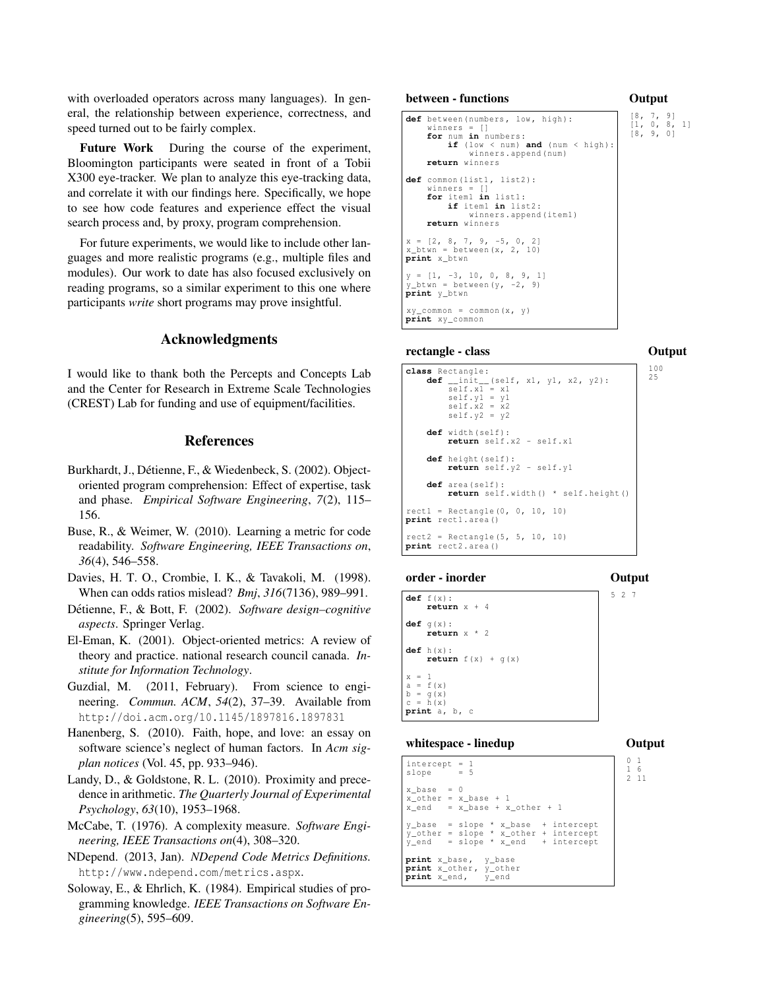with overloaded operators across many languages). In general, the relationship between experience, correctness, and speed turned out to be fairly complex.

Future Work During the course of the experiment, Bloomington participants were seated in front of a Tobii X300 eye-tracker. We plan to analyze this eye-tracking data, and correlate it with our findings here. Specifically, we hope to see how code features and experience effect the visual search process and, by proxy, program comprehension.

For future experiments, we would like to include other languages and more realistic programs (e.g., multiple files and modules). Our work to date has also focused exclusively on reading programs, so a similar experiment to this one where participants *write* short programs may prove insightful.

### Acknowledgments

I would like to thank both the Percepts and Concepts Lab and the Center for Research in Extreme Scale Technologies (CREST) Lab for funding and use of equipment/facilities.

## References

- Burkhardt, J., Détienne, F., & Wiedenbeck, S. (2002). Objectoriented program comprehension: Effect of expertise, task and phase. *Empirical Software Engineering*, *7*(2), 115– 156.
- Buse, R., & Weimer, W. (2010). Learning a metric for code readability. *Software Engineering, IEEE Transactions on*, *36*(4), 546–558.
- Davies, H. T. O., Crombie, I. K., & Tavakoli, M. (1998). When can odds ratios mislead? *Bmj*, *316*(7136), 989–991.
- Détienne, F., & Bott, F. (2002). Software design–cognitive *aspects*. Springer Verlag.
- El-Eman, K. (2001). Object-oriented metrics: A review of theory and practice. national research council canada. *Institute for Information Technology*.
- Guzdial, M. (2011, February). From science to engineering. *Commun. ACM*, *54*(2), 37–39. Available from http://doi.acm.org/10.1145/1897816.1897831
- Hanenberg, S. (2010). Faith, hope, and love: an essay on software science's neglect of human factors. In *Acm sigplan notices* (Vol. 45, pp. 933–946).
- Landy, D., & Goldstone, R. L. (2010). Proximity and precedence in arithmetic. *The Quarterly Journal of Experimental Psychology*, *63*(10), 1953–1968.
- McCabe, T. (1976). A complexity measure. *Software Engineering, IEEE Transactions on*(4), 308–320.
- NDepend. (2013, Jan). *NDepend Code Metrics Definitions.* http://www.ndepend.com/metrics.aspx.
- Soloway, E., & Ehrlich, K. (1984). Empirical studies of programming knowledge. *IEEE Transactions on Software Engineering*(5), 595–609.

```
between - functions
```

```
def between (numbers, low, high) :
      winners = []
for num in numbers :
            if ( low < num ) and ( num < high ):
                  winners . append ( num )
      return winners
def common (list1, list2):
      winners = []
for item1 in list1 :
            if item1 in list2 :
                  winners . append ( item1 )
      return winners
x = [2, 8, 7, 9, -5, 0, 2]<br>x_btwn = between(x, 2, 10)
print x btwn
y = [1, -3, 10, 0, 8, 9, 1]<br>y_btwn = between(y, -2, 9)
print y_btwn
xy_{\text{r}} common = common (x, y)print xy_common
                                                                  \begin{bmatrix} 8 & 7 & 9 \\ 1 & 0 & 8 \\ 8 & 9 & 0 \end{bmatrix}
```
#### rectangle - class

### **Output**

| class Rectangle:<br>def __init__(self, x1, y1, x2, y2):<br>$self.x1 = x1$<br>$self.v1 = v1$<br>$self.x2 = x2$<br>$self.y2 = y2$ | 100<br>25 |
|---------------------------------------------------------------------------------------------------------------------------------|-----------|
| $def$ width (self):<br>return self.x2 - self.x1                                                                                 |           |
| def height (self):<br>return self.y2 - self.y1                                                                                  |           |
| def area (self):<br>return self.width() * self.height()                                                                         |           |
| $rect1 = Rectangle(0, 0, 10, 10)$<br>print rectl.area()                                                                         |           |
| $rect2 = Rectangular(5, 5, 10, 10)$<br>print rect2.area()                                                                       |           |

#### order - inorder

**Output** 

|         | def f(x):<br>return $x + 4$              |  | 527 |  |
|---------|------------------------------------------|--|-----|--|
|         | $def$ q(x):<br>return $x * 2$            |  |     |  |
|         | def h(x):<br><b>return</b> $f(x) + g(x)$ |  |     |  |
| $x = 1$ |                                          |  |     |  |
|         | $a = f(x)$                               |  |     |  |
|         | $b = g(x)$                               |  |     |  |
|         | $c = h(x)$                               |  |     |  |
|         | print a, b, c                            |  |     |  |

#### whitespace - linedup

**Output** 

```
intercept = 1<br>slope = 5
slope
x base = 0
x_{other} = x_{base}x_end = x_base + x_other + 1
y_base = slope * x_base + intercept
y\_other = slope * x\_other + intercept<br>v end = slope * x\_end + intercept
y_{end} = slope * x_{end}print x_base , y_base
print x_other, y_other<br>print x_end, y_end
print x_end,
```
**Output**